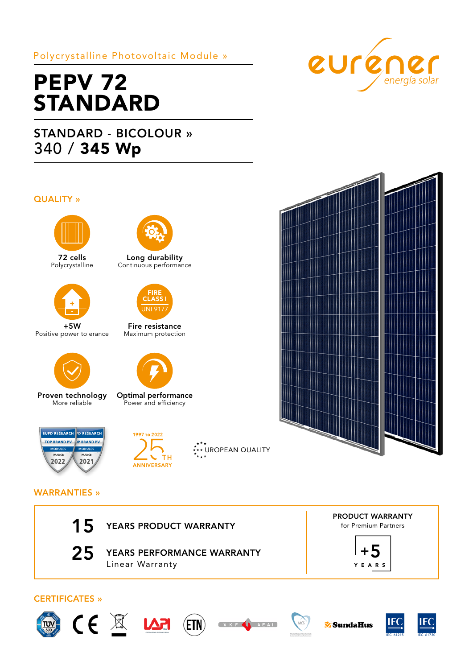# Polycrystalline Photovoltaic Module »

# **PEPV 72** STANDARD

# STANDARD - BICOLOUR » 340 / 345 Wp

## QUALITY »



72 cells Polycrystalline



+5W Positive power tolerance



Proven technology More reliable



Long durability Continuous performance



Fire resistance Maximum protection



Optimal performance Power and efficiency



# 1997 то 2022  $\overline{C}$  TH ANNIVERSARY

\*<sup>\*</sup>\*\* UROPEAN QUALITY





## WARRANTIES »



25 YEARS PERFORMANCE WARRANTY Linear Warranty